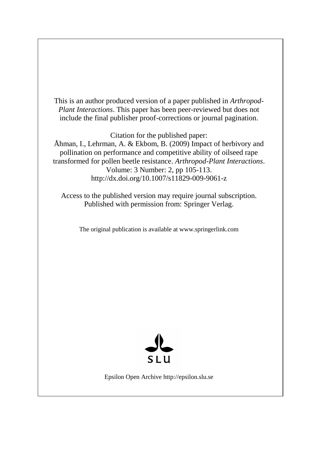This is an author produced version of a paper published in *Arthropod-Plant Interactions*. This paper has been peer-reviewed but does not include the final publisher proof-corrections or journal pagination.

Citation for the published paper:

Åhman, I., Lehrman, A. & Ekbom, B. (2009) Impact of herbivory and pollination on performance and competitive ability of oilseed rape transformed for pollen beetle resistance. *Arthropod-Plant Interactions*. Volume: 3 Number: 2, pp 105-113. http://dx.doi.org/10.1007/s11829-009-9061-z

Access to the published version may require journal subscription. Published with permission from: Springer Verlag.

The original publication is available at www.springerlink.com



Epsilon Open Archive http://epsilon.slu.se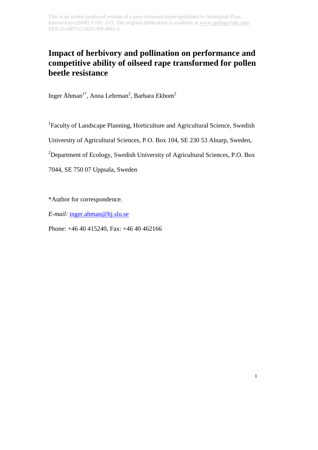# **Impact of herbivory and pollination on performance and competitive ability of oilseed rape transformed for pollen beetle resistance**

Inger Åhman<sup>1\*</sup>, Anna Lehrman<sup>2</sup>, Barbara Ekbom<sup>2</sup>

<sup>1</sup>Faculty of Landscape Planning, Horticulture and Agricultural Science, Swedish

University of Agricultural Sciences, P.O. Box 104, SE 230 53 Alnarp, Sweden,

<sup>2</sup>Department of Ecology, Swedish University of Agricultural Sciences, P.O. Box

7044, SE 750 07 Uppsala, Sweden

\*Author for correspondence.

*E-mail:* [inger.ahman@ltj.slu.se](mailto:inger.ahman@ltj.slu.se)

Phone: +46 40 415240, Fax: +46 40 462166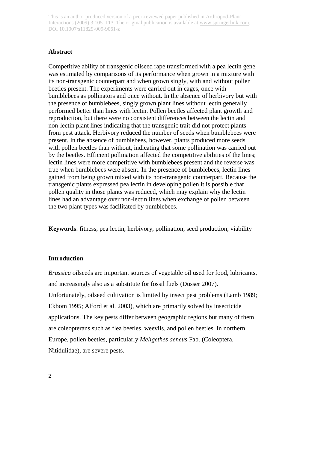#### **Abstract**

Competitive ability of transgenic oilseed rape transformed with a pea lectin gene was estimated by comparisons of its performance when grown in a mixture with its non-transgenic counterpart and when grown singly, with and without pollen beetles present. The experiments were carried out in cages, once with bumblebees as pollinators and once without. In the absence of herbivory but with the presence of bumblebees, singly grown plant lines without lectin generally performed better than lines with lectin. Pollen beetles affected plant growth and reproduction, but there were no consistent differences between the lectin and non-lectin plant lines indicating that the transgenic trait did not protect plants from pest attack. Herbivory reduced the number of seeds when bumblebees were present. In the absence of bumblebees, however, plants produced more seeds with pollen beetles than without, indicating that some pollination was carried out by the beetles. Efficient pollination affected the competitive abilities of the lines; lectin lines were more competitive with bumblebees present and the reverse was true when bumblebees were absent. In the presence of bumblebees, lectin lines gained from being grown mixed with its non-transgenic counterpart. Because the transgenic plants expressed pea lectin in developing pollen it is possible that pollen quality in those plants was reduced, which may explain why the lectin lines had an advantage over non-lectin lines when exchange of pollen between the two plant types was facilitated by bumblebees.

**Keywords**: fitness, pea lectin, herbivory, pollination, seed production, viability

### **Introduction**

*Brassica* oilseeds are important sources of vegetable oil used for food, lubricants, and increasingly also as a substitute for fossil fuels (Dusser 2007). Unfortunately, oilseed cultivation is limited by insect pest problems (Lamb 1989; Ekbom 1995; Alford et al. 2003), which are primarily solved by insecticide applications. The key pests differ between geographic regions but many of them are coleopterans such as flea beetles, weevils, and pollen beetles. In northern Europe, pollen beetles, particularly *Meligethes aeneus* Fab. (Coleoptera, Nitidulidae), are severe pests.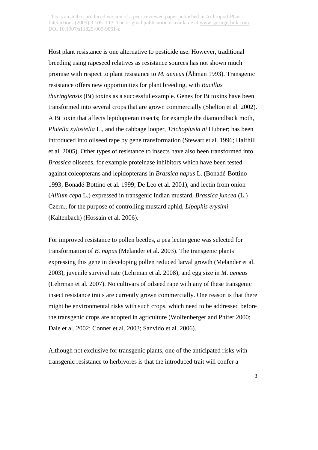Host plant resistance is one alternative to pesticide use. However, traditional breeding using rapeseed relatives as resistance sources has not shown much promise with respect to plant resistance to *M. aeneus* (Åhman 1993). Transgenic resistance offers new opportunities for plant breeding, with *Bacillus thuringiensis* (Bt) toxins as a successful example. Genes for Bt toxins have been transformed into several crops that are grown commercially (Shelton et al*.* 2002). A Bt toxin that affects lepidopteran insects; for example the diamondback moth, *Plutella xylostella* L., and the cabbage looper, *Trichoplusia ni* Hubner; has been introduced into oilseed rape by gene transformation (Stewart et al*.* 1996; Halfhill et al. 2005). Other types of resistance to insects have also been transformed into *Brassica* oilseeds, for example proteinase inhibitors which have been tested against coleopterans and lepidopterans in *Brassica napus* L. (Bonadé-Bottino 1993; Bonadé-Bottino et al*.* 1999; De Leo et al*.* 2001), and lectin from onion (*Allium cepa* L.) expressed in transgenic Indian mustard, *Brassica juncea* (L.) Czern., for the purpose of controlling mustard aphid, *Lipaphis erysimi*  (Kaltenbach) (Hossain et al*.* 2006).

For improved resistance to pollen beetles, a pea lectin gene was selected for transformation of *B. napus* (Melander et al. 2003). The transgenic plants expressing this gene in developing pollen reduced larval growth (Melander et al. 2003), juvenile survival rate (Lehrman et al*.* 2008), and egg size in *M. aeneus* (Lehrman et al*.* 2007). No cultivars of oilseed rape with any of these transgenic insect resistance traits are currently grown commercially. One reason is that there might be environmental risks with such crops, which need to be addressed before the transgenic crops are adopted in agriculture (Wolfenberger and Phifer 2000; Dale et al. 2002; Conner et al. 2003; Sanvido et al. 2006).

Although not exclusive for transgenic plants, one of the anticipated risks with transgenic resistance to herbivores is that the introduced trait will confer a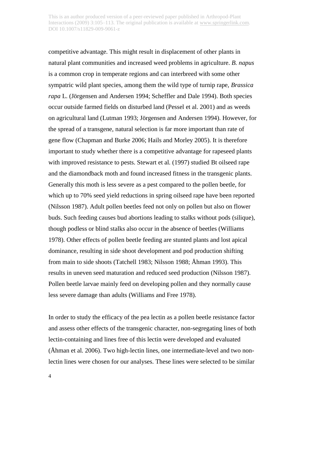competitive advantage. This might result in displacement of other plants in natural plant communities and increased weed problems in agriculture. *B. napus* is a common crop in temperate regions and can interbreed with some other sympatric wild plant species, among them the wild type of turnip rape, *Brassica rapa* L. (Jörgensen and Andersen 1994; Scheffler and Dale 1994). Both species occur outside farmed fields on disturbed land (Pessel et al. 2001) and as weeds on agricultural land (Lutman 1993; Jörgensen and Andersen 1994). However, for the spread of a transgene, natural selection is far more important than rate of gene flow (Chapman and Burke 2006; Hails and Morley 2005). It is therefore important to study whether there is a competitive advantage for rapeseed plants with improved resistance to pests. Stewart et al*.* (1997) studied Bt oilseed rape and the diamondback moth and found increased fitness in the transgenic plants. Generally this moth is less severe as a pest compared to the pollen beetle, for which up to 70% seed yield reductions in spring oilseed rape have been reported (Nilsson 1987). Adult pollen beetles feed not only on pollen but also on flower buds. Such feeding causes bud abortions leading to stalks without pods (silique), though podless or blind stalks also occur in the absence of beetles (Williams 1978). Other effects of pollen beetle feeding are stunted plants and lost apical dominance, resulting in side shoot development and pod production shifting from main to side shoots (Tatchell 1983; Nilsson 1988; Åhman 1993). This results in uneven seed maturation and reduced seed production (Nilsson 1987). Pollen beetle larvae mainly feed on developing pollen and they normally cause less severe damage than adults (Williams and Free 1978).

In order to study the efficacy of the pea lectin as a pollen beetle resistance factor and assess other effects of the transgenic character, non-segregating lines of both lectin-containing and lines free of this lectin were developed and evaluated (Åhman et al*.* 2006). Two high-lectin lines, one intermediate-level and two nonlectin lines were chosen for our analyses. These lines were selected to be similar

4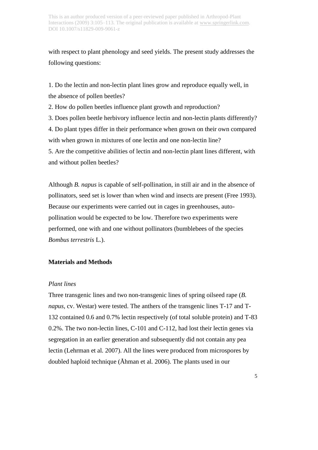with respect to plant phenology and seed yields. The present study addresses the following questions:

1. Do the lectin and non-lectin plant lines grow and reproduce equally well, in the absence of pollen beetles?

2. How do pollen beetles influence plant growth and reproduction?

3. Does pollen beetle herbivory influence lectin and non-lectin plants differently?

4. Do plant types differ in their performance when grown on their own compared with when grown in mixtures of one lectin and one non-lectin line?

5. Are the competitive abilities of lectin and non-lectin plant lines different, with and without pollen beetles?

Although *B. napus* is capable of self-pollination, in still air and in the absence of pollinators, seed set is lower than when wind and insects are present (Free 1993). Because our experiments were carried out in cages in greenhouses, autopollination would be expected to be low. Therefore two experiments were performed, one with and one without pollinators (bumblebees of the species *Bombus terrestris* L.).

# **Materials and Methods**

# *Plant lines*

Three transgenic lines and two non-transgenic lines of spring oilseed rape (*B. napus,* cv. Westar) were tested. The anthers of the transgenic lines T-17 and T-132 contained 0.6 and 0.7% lectin respectively (of total soluble protein) and T-83 0.2%. The two non-lectin lines, C-101 and C-112, had lost their lectin genes via segregation in an earlier generation and subsequently did not contain any pea lectin (Lehrman et al*.* 2007). All the lines were produced from microspores by doubled haploid technique (Åhman et al*.* 2006). The plants used in our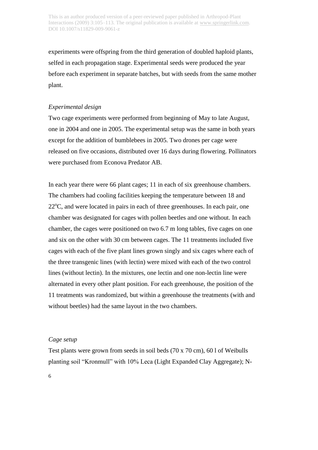experiments were offspring from the third generation of doubled haploid plants, selfed in each propagation stage. Experimental seeds were produced the year before each experiment in separate batches, but with seeds from the same mother plant.

#### *Experimental design*

Two cage experiments were performed from beginning of May to late August, one in 2004 and one in 2005. The experimental setup was the same in both years except for the addition of bumblebees in 2005. Two drones per cage were released on five occasions, distributed over 16 days during flowering. Pollinators were purchased from Econova Predator AB.

In each year there were 66 plant cages; 11 in each of six greenhouse chambers. The chambers had cooling facilities keeping the temperature between 18 and  $22^{\circ}$ C, and were located in pairs in each of three greenhouses. In each pair, one chamber was designated for cages with pollen beetles and one without. In each chamber, the cages were positioned on two 6.7 m long tables, five cages on one and six on the other with 30 cm between cages. The 11 treatments included five cages with each of the five plant lines grown singly and six cages where each of the three transgenic lines (with lectin) were mixed with each of the two control lines (without lectin). In the mixtures, one lectin and one non-lectin line were alternated in every other plant position. For each greenhouse, the position of the 11 treatments was randomized, but within a greenhouse the treatments (with and without beetles) had the same layout in the two chambers.

### *Cage setup*

Test plants were grown from seeds in soil beds (70 x 70 cm), 60 l of Weibulls planting soil "Kronmull" with 10% Leca (Light Expanded Clay Aggregate); N-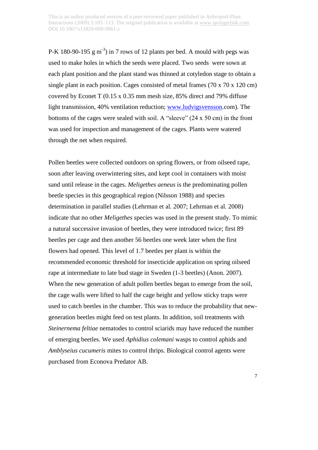P-K 180-90-195  $\text{g m}^{-3}$ ) in 7 rows of 12 plants per bed. A mould with pegs was used to make holes in which the seeds were placed. Two seeds were sown at each plant position and the plant stand was thinned at cotyledon stage to obtain a single plant in each position. Cages consisted of metal frames (70 x 70 x 120 cm) covered by Econet T (0.15 x 0.35 mm mesh size, 85% direct and 79% diffuse light transmission, 40% ventilation reduction; [www.ludvigsvensson.](http://www.ludvigsvensson/)com). The bottoms of the cages were sealed with soil. A "sleeve" (24 x 50 cm) in the front was used for inspection and management of the cages. Plants were watered through the net when required.

Pollen beetles were collected outdoors on spring flowers, or from oilseed rape, soon after leaving overwintering sites, and kept cool in containers with moist sand until release in the cages. *Meligethes aeneus* is the predominating pollen beetle species in this geographical region (Nilsson 1988) and species determination in parallel studies (Lehrman et al*.* 2007; Lehrman et al*.* 2008) indicate that no other *Meligethes* species was used in the present study. To mimic a natural successive invasion of beetles, they were introduced twice; first 89 beetles per cage and then another 56 beetles one week later when the first flowers had opened. This level of 1.7 beetles per plant is within the recommended economic threshold for insecticide application on spring oilseed rape at intermediate to late bud stage in Sweden (1-3 beetles) (Anon. 2007). When the new generation of adult pollen beetles began to emerge from the soil, the cage walls were lifted to half the cage height and yellow sticky traps were used to catch beetles in the chamber. This was to reduce the probability that newgeneration beetles might feed on test plants. In addition, soil treatments with *Steinernema feltiae* nematodes to control sciarids may have reduced the number of emerging beetles. We used *Aphidius colemani* wasps to control aphids and *Amblyseius cucumeris* mites to control thrips. Biological control agents were purchased from Econova Predator AB.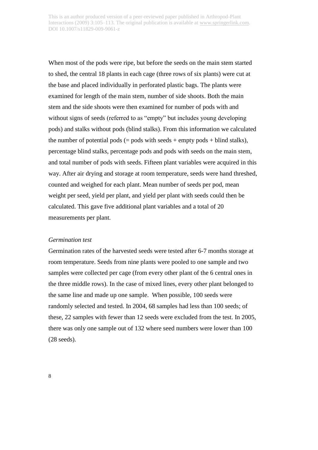When most of the pods were ripe, but before the seeds on the main stem started to shed, the central 18 plants in each cage (three rows of six plants) were cut at the base and placed individually in perforated plastic bags. The plants were examined for length of the main stem, number of side shoots. Both the main stem and the side shoots were then examined for number of pods with and without signs of seeds (referred to as "empty" but includes young developing pods) and stalks without pods (blind stalks). From this information we calculated the number of potential pods  $(=$  pods with seeds  $+$  empty pods  $+$  blind stalks), percentage blind stalks, percentage pods and pods with seeds on the main stem, and total number of pods with seeds. Fifteen plant variables were acquired in this way. After air drying and storage at room temperature, seeds were hand threshed, counted and weighed for each plant. Mean number of seeds per pod, mean weight per seed, yield per plant, and yield per plant with seeds could then be calculated. This gave five additional plant variables and a total of 20 measurements per plant.

#### *Germination test*

Germination rates of the harvested seeds were tested after 6-7 months storage at room temperature. Seeds from nine plants were pooled to one sample and two samples were collected per cage (from every other plant of the 6 central ones in the three middle rows). In the case of mixed lines, every other plant belonged to the same line and made up one sample. When possible, 100 seeds were randomly selected and tested. In 2004, 68 samples had less than 100 seeds; of these, 22 samples with fewer than 12 seeds were excluded from the test. In 2005, there was only one sample out of 132 where seed numbers were lower than 100 (28 seeds).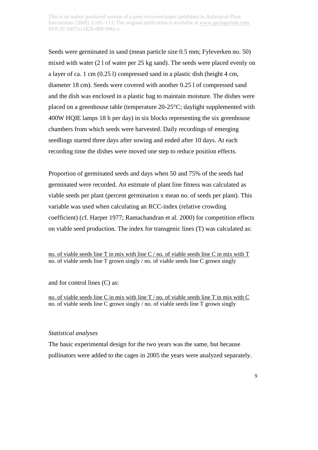Seeds were germinated in sand (mean particle size 0.5 mm; Fyleverken no. 50) mixed with water (2 l of water per 25 kg sand). The seeds were placed evenly on a layer of ca. 1 cm (0.25 l) compressed sand in a plastic dish (height 4 cm, diameter 18 cm). Seeds were covered with another 0.25 l of compressed sand and the dish was enclosed in a plastic bag to maintain moisture. The dishes were placed on a greenhouse table (temperature 20-25°C; daylight supplemented with 400W HQIE lamps 18 h per day) in six blocks representing the six greenhouse chambers from which seeds were harvested. Daily recordings of emerging seedlings started three days after sowing and ended after 10 days. At each recording time the dishes were moved one step to reduce position effects.

Proportion of germinated seeds and days when 50 and 75% of the seeds had germinated were recorded. An estimate of plant line fitness was calculated as viable seeds per plant (percent germination x mean no. of seeds per plant). This variable was used when calculating an RCC-index (relative crowding coefficient) (cf. Harper 1977; Ramachandran et al. 2000) for competition effects on viable seed production. The index for transgenic lines (T) was calculated as:

no. of viable seeds line T in mix with line C / no. of viable seeds line C in mix with T no. of viable seeds line T grown singly / no. of viable seeds line C grown singly

and for control lines (C) as:

no. of viable seeds line C in mix with line T / no. of viable seeds line T in mix with C no. of viable seeds line C grown singly / no. of viable seeds line T grown singly

#### *Statistical analyses*

The basic experimental design for the two years was the same, but because pollinators were added to the cages in 2005 the years were analyzed separately.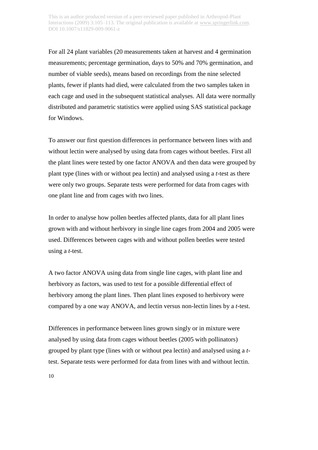For all 24 plant variables (20 measurements taken at harvest and 4 germination measurements; percentage germination, days to 50% and 70% germination, and number of viable seeds), means based on recordings from the nine selected plants, fewer if plants had died, were calculated from the two samples taken in each cage and used in the subsequent statistical analyses. All data were normally distributed and parametric statistics were applied using SAS statistical package for Windows.

To answer our first question differences in performance between lines with and without lectin were analysed by using data from cages without beetles. First all the plant lines were tested by one factor ANOVA and then data were grouped by plant type (lines with or without pea lectin) and analysed using a *t*-test as there were only two groups. Separate tests were performed for data from cages with one plant line and from cages with two lines.

In order to analyse how pollen beetles affected plants, data for all plant lines grown with and without herbivory in single line cages from 2004 and 2005 were used. Differences between cages with and without pollen beetles were tested using a *t*-test.

A two factor ANOVA using data from single line cages, with plant line and herbivory as factors, was used to test for a possible differential effect of herbivory among the plant lines. Then plant lines exposed to herbivory were compared by a one way ANOVA, and lectin versus non-lectin lines by a *t*-test.

Differences in performance between lines grown singly or in mixture were analysed by using data from cages without beetles (2005 with pollinators) grouped by plant type (lines with or without pea lectin) and analysed using a *t*test. Separate tests were performed for data from lines with and without lectin.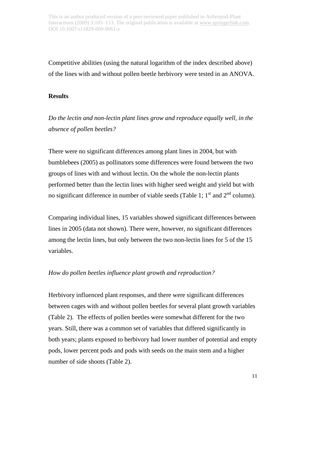Competitive abilities (using the natural logarithm of the index described above) of the lines with and without pollen beetle herbivory were tested in an ANOVA.

# **Results**

*Do the lectin and non-lectin plant lines grow and reproduce equally well, in the absence of pollen beetles?*

There were no significant differences among plant lines in 2004, but with bumblebees (2005) as pollinators some differences were found between the two groups of lines with and without lectin. On the whole the non-lectin plants performed better than the lectin lines with higher seed weight and yield but with no significant difference in number of viable seeds (Table 1;  $1<sup>st</sup>$  and  $2<sup>nd</sup>$  column).

Comparing individual lines, 15 variables showed significant differences between lines in 2005 (data not shown). There were, however, no significant differences among the lectin lines, but only between the two non-lectin lines for 5 of the 15 variables.

# *How do pollen beetles influence plant growth and reproduction?*

Herbivory influenced plant responses, and there were significant differences between cages with and without pollen beetles for several plant growth variables (Table 2). The effects of pollen beetles were somewhat different for the two years. Still, there was a common set of variables that differed significantly in both years; plants exposed to herbivory had lower number of potential and empty pods, lower percent pods and pods with seeds on the main stem and a higher number of side shoots (Table 2).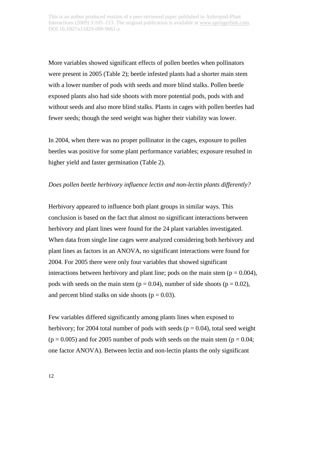More variables showed significant effects of pollen beetles when pollinators were present in 2005 (Table 2); beetle infested plants had a shorter main stem with a lower number of pods with seeds and more blind stalks. Pollen beetle exposed plants also had side shoots with more potential pods, pods with and without seeds and also more blind stalks. Plants in cages with pollen beetles had fewer seeds; though the seed weight was higher their viability was lower.

In 2004, when there was no proper pollinator in the cages, exposure to pollen beetles was positive for some plant performance variables; exposure resulted in higher yield and faster germination (Table 2).

# *Does pollen beetle herbivory influence lectin and non-lectin plants differently?*

Herbivory appeared to influence both plant groups in similar ways. This conclusion is based on the fact that almost no significant interactions between herbivory and plant lines were found for the 24 plant variables investigated. When data from single line cages were analyzed considering both herbivory and plant lines as factors in an ANOVA, no significant interactions were found for 2004. For 2005 there were only four variables that showed significant interactions between herbivory and plant line; pods on the main stem ( $p = 0.004$ ), pods with seeds on the main stem ( $p = 0.04$ ), number of side shoots ( $p = 0.02$ ), and percent blind stalks on side shoots ( $p = 0.03$ ).

Few variables differed significantly among plants lines when exposed to herbivory; for 2004 total number of pods with seeds ( $p = 0.04$ ), total seed weight  $(p = 0.005)$  and for 2005 number of pods with seeds on the main stem  $(p = 0.04;$ one factor ANOVA). Between lectin and non-lectin plants the only significant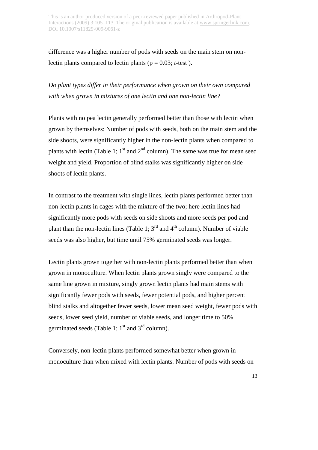difference was a higher number of pods with seeds on the main stem on nonlectin plants compared to lectin plants ( $p = 0.03$ ; *t*-test).

*Do plant types differ in their performance when grown on their own compared with when grown in mixtures of one lectin and one non-lectin line?*

Plants with no pea lectin generally performed better than those with lectin when grown by themselves: Number of pods with seeds, both on the main stem and the side shoots, were significantly higher in the non-lectin plants when compared to plants with lectin (Table 1;  $1<sup>st</sup>$  and  $2<sup>nd</sup>$  column). The same was true for mean seed weight and yield. Proportion of blind stalks was significantly higher on side shoots of lectin plants.

In contrast to the treatment with single lines, lectin plants performed better than non-lectin plants in cages with the mixture of the two; here lectin lines had significantly more pods with seeds on side shoots and more seeds per pod and plant than the non-lectin lines (Table 1;  $3<sup>rd</sup>$  and  $4<sup>th</sup>$  column). Number of viable seeds was also higher, but time until 75% germinated seeds was longer.

Lectin plants grown together with non-lectin plants performed better than when grown in monoculture. When lectin plants grown singly were compared to the same line grown in mixture, singly grown lectin plants had main stems with significantly fewer pods with seeds, fewer potential pods, and higher percent blind stalks and altogether fewer seeds, lower mean seed weight, fewer pods with seeds, lower seed yield, number of viable seeds, and longer time to 50% germinated seeds (Table 1;  $1<sup>st</sup>$  and  $3<sup>rd</sup>$  column).

Conversely, non-lectin plants performed somewhat better when grown in monoculture than when mixed with lectin plants. Number of pods with seeds on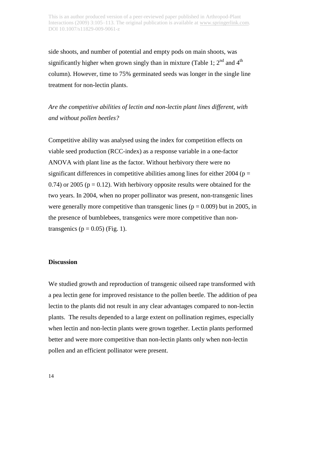side shoots, and number of potential and empty pods on main shoots, was significantly higher when grown singly than in mixture (Table 1;  $2<sup>nd</sup>$  and  $4<sup>th</sup>$ ) column). However, time to 75% germinated seeds was longer in the single line treatment for non-lectin plants.

*Are the competitive abilities of lectin and non-lectin plant lines different, with and without pollen beetles?*

Competitive ability was analysed using the index for competition effects on viable seed production (RCC-index) as a response variable in a one-factor ANOVA with plant line as the factor. Without herbivory there were no significant differences in competitive abilities among lines for either 2004 ( $p =$ 0.74) or 2005 ( $p = 0.12$ ). With herbivory opposite results were obtained for the two years. In 2004, when no proper pollinator was present, non-transgenic lines were generally more competitive than transgenic lines ( $p = 0.009$ ) but in 2005, in the presence of bumblebees, transgenics were more competitive than nontransgenics ( $p = 0.05$ ) (Fig. 1).

# **Discussion**

We studied growth and reproduction of transgenic oilseed rape transformed with a pea lectin gene for improved resistance to the pollen beetle. The addition of pea lectin to the plants did not result in any clear advantages compared to non-lectin plants. The results depended to a large extent on pollination regimes, especially when lectin and non-lectin plants were grown together. Lectin plants performed better and were more competitive than non-lectin plants only when non-lectin pollen and an efficient pollinator were present.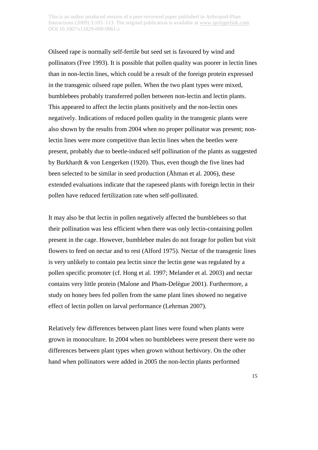Oilseed rape is normally self-fertile but seed set is favoured by wind and pollinators (Free 1993). It is possible that pollen quality was poorer in lectin lines than in non-lectin lines, which could be a result of the foreign protein expressed in the transgenic oilseed rape pollen. When the two plant types were mixed, bumblebees probably transferred pollen between non-lectin and lectin plants. This appeared to affect the lectin plants positively and the non-lectin ones negatively. Indications of reduced pollen quality in the transgenic plants were also shown by the results from 2004 when no proper pollinator was present; nonlectin lines were more competitive than lectin lines when the beetles were present, probably due to beetle-induced self pollination of the plants as suggested by Burkhardt & von Lengerken (1920). Thus, even though the five lines had been selected to be similar in seed production (Åhman et al*.* 2006), these extended evaluations indicate that the rapeseed plants with foreign lectin in their pollen have reduced fertilization rate when self-pollinated.

It may also be that lectin in pollen negatively affected the bumblebees so that their pollination was less efficient when there was only lectin-containing pollen present in the cage. However, bumblebee males do not forage for pollen but visit flowers to feed on nectar and to rest (Alford 1975). Nectar of the transgenic lines is very unlikely to contain pea lectin since the lectin gene was regulated by a pollen specific promoter (cf. Hong et al*.* 1997; Melander et al. 2003) and nectar contains very little protein (Malone and Pham-Delègue 2001). Furthermore, a study on honey bees fed pollen from the same plant lines showed no negative effect of lectin pollen on larval performance (Lehrman 2007).

Relatively few differences between plant lines were found when plants were grown in monoculture. In 2004 when no bumblebees were present there were no differences between plant types when grown without herbivory. On the other hand when pollinators were added in 2005 the non-lectin plants performed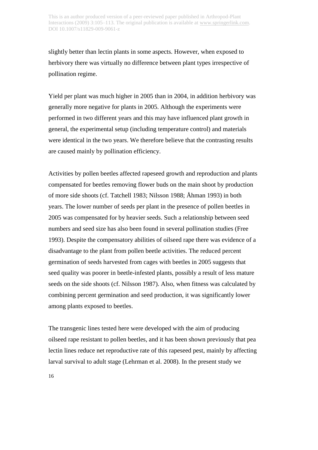slightly better than lectin plants in some aspects. However, when exposed to herbivory there was virtually no difference between plant types irrespective of pollination regime.

Yield per plant was much higher in 2005 than in 2004, in addition herbivory was generally more negative for plants in 2005. Although the experiments were performed in two different years and this may have influenced plant growth in general, the experimental setup (including temperature control) and materials were identical in the two years. We therefore believe that the contrasting results are caused mainly by pollination efficiency.

Activities by pollen beetles affected rapeseed growth and reproduction and plants compensated for beetles removing flower buds on the main shoot by production of more side shoots (cf. Tatchell 1983; Nilsson 1988; Åhman 1993) in both years. The lower number of seeds per plant in the presence of pollen beetles in 2005 was compensated for by heavier seeds. Such a relationship between seed numbers and seed size has also been found in several pollination studies (Free 1993). Despite the compensatory abilities of oilseed rape there was evidence of a disadvantage to the plant from pollen beetle activities. The reduced percent germination of seeds harvested from cages with beetles in 2005 suggests that seed quality was poorer in beetle-infested plants, possibly a result of less mature seeds on the side shoots (cf. Nilsson 1987). Also, when fitness was calculated by combining percent germination and seed production, it was significantly lower among plants exposed to beetles.

The transgenic lines tested here were developed with the aim of producing oilseed rape resistant to pollen beetles, and it has been shown previously that pea lectin lines reduce net reproductive rate of this rapeseed pest, mainly by affecting larval survival to adult stage (Lehrman et al. 2008). In the present study we

16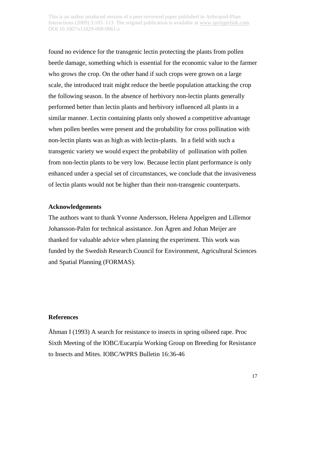found no evidence for the transgenic lectin protecting the plants from pollen beetle damage, something which is essential for the economic value to the farmer who grows the crop. On the other hand if such crops were grown on a large scale, the introduced trait might reduce the beetle population attacking the crop the following season. In the absence of herbivory non-lectin plants generally performed better than lectin plants and herbivory influenced all plants in a similar manner. Lectin containing plants only showed a competitive advantage when pollen beetles were present and the probability for cross pollination with non-lectin plants was as high as with lectin-plants. In a field with such a transgenic variety we would expect the probability of pollination with pollen from non-lectin plants to be very low. Because lectin plant performance is only enhanced under a special set of circumstances, we conclude that the invasiveness of lectin plants would not be higher than their non-transgenic counterparts.

#### **Acknowledgements**

The authors want to thank Yvonne Andersson, Helena Appelgren and Lillemor Johansson-Palm for technical assistance. Jon Ågren and Johan Meijer are thanked for valuable advice when planning the experiment. This work was funded by the Swedish Research Council for Environment, Agricultural Sciences and Spatial Planning (FORMAS).

### **References**

Åhman I (1993) A search for resistance to insects in spring oilseed rape. Proc Sixth Meeting of the IOBC/Eucarpia Working Group on Breeding for Resistance to Insects and Mites. IOBC/WPRS Bulletin 16:36-46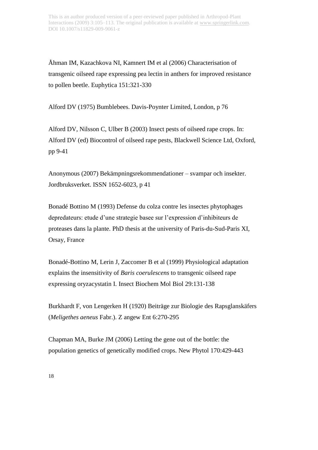Åhman IM, Kazachkova NI, Kamnert IM et al (2006) Characterisation of transgenic oilseed rape expressing pea lectin in anthers for improved resistance to pollen beetle. Euphytica 151:321-330

Alford DV (1975) Bumblebees. Davis-Poynter Limited, London, p 76

Alford DV, Nilsson C, Ulber B (2003) Insect pests of oilseed rape crops. In: Alford DV (ed) Biocontrol of oilseed rape pests, Blackwell Science Ltd, Oxford, pp 9-41

Anonymous (2007) Bekämpningsrekommendationer – svampar och insekter. Jordbruksverket. ISSN 1652-6023, p 41

Bonadé Bottino M (1993) Defense du colza contre les insectes phytophages depredateurs: etude d'une strategie basee sur l'expression d'inhibiteurs de proteases dans la plante. PhD thesis at the university of Paris-du-Sud-Paris XI, Orsay, France

Bonadé-Bottino M, Lerin J, Zaccomer B et al (1999) Physiological adaptation explains the insensitivity of *Baris coerulescens* to transgenic oilseed rape expressing oryzacystatin I. Insect Biochem Mol Biol 29:131-138

Burkhardt F, von Lengerken H (1920) Beiträge zur Biologie des Rapsglanskäfers (*Meligethes aeneus* Fabr.). Z angew Ent 6:270-295

Chapman MA, Burke JM (2006) Letting the gene out of the bottle: the population genetics of genetically modified crops. New Phytol 170:429-443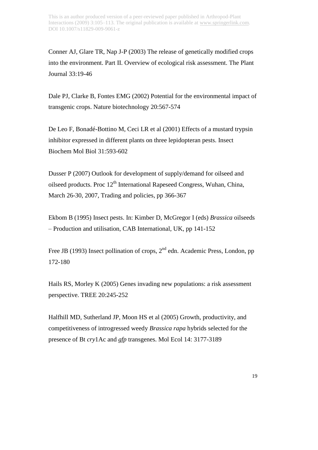Conner AJ, Glare TR, Nap J-P (2003) The release of genetically modified crops into the environment. Part II. Overview of ecological risk assessment. The Plant Journal 33:19-46

Dale PJ, Clarke B, Fontes EMG (2002) Potential for the environmental impact of transgenic crops. Nature biotechnology 20:567-574

De Leo F, Bonadé-Bottino M, Ceci LR et al (2001) Effects of a mustard trypsin inhibitor expressed in different plants on three lepidopteran pests. Insect Biochem Mol Biol 31:593-602

Dusser P (2007) Outlook for development of supply/demand for oilseed and oilseed products. Proc 12<sup>th</sup> International Rapeseed Congress, Wuhan, China, March 26-30, 2007, Trading and policies, pp 366-367

Ekbom B (1995) Insect pests. In: Kimber D, McGregor I (eds) *Brassica* oilseeds – Production and utilisation, CAB International, UK, pp 141-152

Free JB (1993) Insect pollination of crops,  $2<sup>nd</sup>$  edn. Academic Press, London, pp 172-180

Hails RS, Morley K (2005) Genes invading new populations: a risk assessment perspective. TREE 20:245-252

Halfhill MD, Sutherland JP, Moon HS et al (2005) Growth, productivity, and competitiveness of introgressed weedy *Brassica rapa* hybrids selected for the presence of Bt *cry*1Ac and *gfp* transgenes. Mol Ecol 14: 3177-3189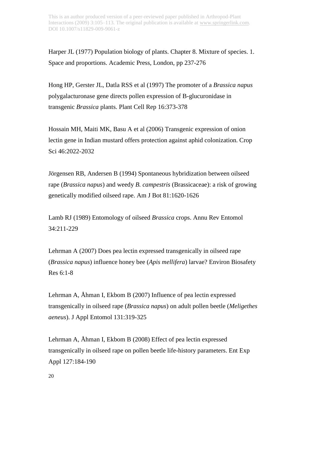Harper JL (1977) Population biology of plants. Chapter 8. Mixture of species. 1. Space and proportions. Academic Press, London, pp 237-276

Hong HP, Gerster JL, Datla RSS et al (1997) The promoter of a *Brassica napus* polygalacturonase gene directs pollen expression of B-glucuronidase in transgenic *Brassica* plants. Plant Cell Rep 16:373-378

Hossain MH, Maiti MK, Basu A et al (2006) Transgenic expression of onion lectin gene in Indian mustard offers protection against aphid colonization. Crop Sci 46:2022-2032

Jörgensen RB, Andersen B (1994) Spontaneous hybridization between oilseed rape (*Brassica napus*) and weedy *B. campestris* (Brassicaceae): a risk of growing genetically modified oilseed rape. Am J Bot 81:1620-1626

Lamb RJ (1989) Entomology of oilseed *Brassica* crops. Annu Rev Entomol 34:211-229

Lehrman A (2007) Does pea lectin expressed transgenically in oilseed rape (*Brassica napus*) influence honey bee (*Apis mellifera*) larvae? Environ Biosafety Res 6:1-8

Lehrman A, Åhman I, Ekbom B (2007) Influence of pea lectin expressed transgenically in oilseed rape (*Brassica napus*) on adult pollen beetle (*Meligethes aeneus*). J Appl Entomol 131:319-325

Lehrman A, Åhman I, Ekbom B (2008) Effect of pea lectin expressed transgenically in oilseed rape on pollen beetle life-history parameters. Ent Exp Appl 127:184-190

20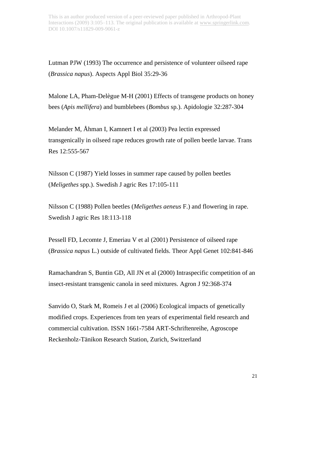Lutman PJW (1993) The occurrence and persistence of volunteer oilseed rape (*Brassica napus*). Aspects Appl Biol 35:29-36

Malone LA, Pham-Delègue M-H (2001) Effects of transgene products on honey bees (*Apis mellifera*) and bumblebees (*Bombus* sp.). Apidologie 32:287-304

Melander M, Åhman I, Kamnert I et al (2003) Pea lectin expressed transgenically in oilseed rape reduces growth rate of pollen beetle larvae. Trans Res 12:555-567

Nilsson C (1987) Yield losses in summer rape caused by pollen beetles (*Meligethes* spp.). Swedish J agric Res 17:105-111

Nilsson C (1988) Pollen beetles (*Meligethes aeneus* F.) and flowering in rape. Swedish J agric Res 18:113-118

Pessell FD, Lecomte J, Emeriau V et al (2001) Persistence of oilseed rape (*Brassica napus* L.) outside of cultivated fields. Theor Appl Genet 102:841-846

Ramachandran S, Buntin GD, All JN et al (2000) Intraspecific competition of an insect-resistant transgenic canola in seed mixtures. Agron J 92:368-374

Sanvido O, Stark M, Romeis J et al (2006) Ecological impacts of genetically modified crops. Experiences from ten years of experimental field research and commercial cultivation. ISSN 1661-7584 ART-Schriftenreihe, Agroscope Reckenholz-Tänikon Research Station, Zurich, Switzerland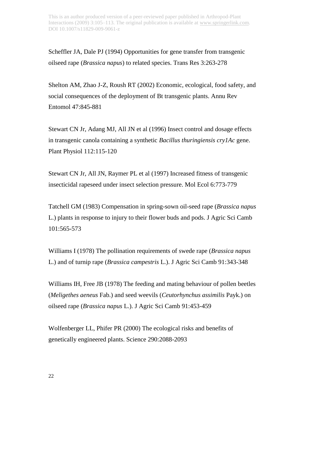Scheffler JA, Dale PJ (1994) Opportunities for gene transfer from transgenic oilseed rape (*Brassica napus*) to related species. Trans Res 3:263-278

Shelton AM, Zhao J-Z, Roush RT (2002) Economic, ecological, food safety, and social consequences of the deployment of Bt transgenic plants. Annu Rev Entomol 47:845-881

Stewart CN Jr, Adang MJ, All JN et al (1996) Insect control and dosage effects in transgenic canola containing a synthetic *Bacillus thuringiensis cry1Ac* gene. Plant Physiol 112:115-120

Stewart CN Jr, All JN, Raymer PL et al (1997) Increased fitness of transgenic insecticidal rapeseed under insect selection pressure. Mol Ecol 6:773-779

Tatchell GM (1983) Compensation in spring-sown oil-seed rape (*Brassica napus*  L.) plants in response to injury to their flower buds and pods. J Agric Sci Camb 101:565-573

Williams I (1978) The pollination requirements of swede rape (*Brassica napus*  L.) and of turnip rape (*Brassica campestris* L.). J Agric Sci Camb 91:343-348

Williams IH, Free JB (1978) The feeding and mating behaviour of pollen beetles (*Meligethes aeneus* Fab.) and seed weevils (*Ceutorhynchus assimilis* Payk.) on oilseed rape (*Brassica napus* L.). J Agric Sci Camb 91:453-459

Wolfenberger LL, Phifer PR (2000) The ecological risks and benefits of genetically engineered plants. Science 290:2088-2093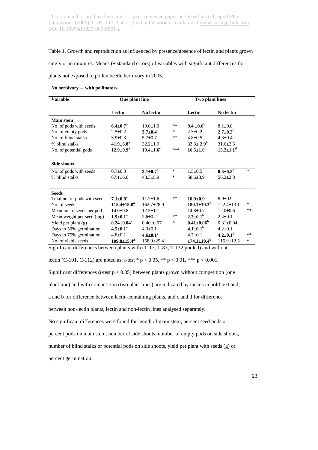#### Table 1. Growth and reproduction as influenced by presence/absence of lectin and plants grown

singly or in mixtures. Means (**±** standard errors) of variables with significant differences for

plants not exposed to pollen beetle herbivory in 2005.

| No herbivory - with pollinators |                               |                            |        |                          |                            |      |  |  |  |  |
|---------------------------------|-------------------------------|----------------------------|--------|--------------------------|----------------------------|------|--|--|--|--|
| <b>Variable</b>                 | One plant line                |                            |        | Two plant lines          |                            |      |  |  |  |  |
|                                 | Lectin                        | No lectin                  |        | Lectin                   | No lectin                  |      |  |  |  |  |
| <b>Main stem</b>                |                               |                            |        |                          |                            |      |  |  |  |  |
| No. of pods with seeds          | $6.4 \pm 0.7^{\rm a}$         | $10.0 \pm 1.0$             | $***$  | $9.4 \pm 0.6^{\circ}$    | $8.1 \pm 0.8$              |      |  |  |  |  |
| No. of empty pods               | $2.5 \pm 0.2$                 | $3.7 \pm 0.4$ <sup>c</sup> | *      | $2.3 \pm 0.2$            | $2.7 \pm 0.2^d$            |      |  |  |  |  |
| No. of blind stalks             | $3.9 \pm 0.3$                 | $5.7 \pm 0.7$              | **     | $4.8 \pm 0.5$            | $4.3 \pm 0.4$              |      |  |  |  |  |
| % blind stalks                  | $41.9 \pm 3.8^{\rm a}$        | $32.2 \pm 1.9$             |        | $32.3 \pm 2.9^{\rm b}$   | $31.6 \pm 2.5$             |      |  |  |  |  |
| No. of potential pods           | $12.9 \pm 0.9^{\rm a}$        | $19.4 \pm 1.6^c$           | ***    | $16.5 \pm 1.0^{\rm b}$   | $15.2 \pm 1.1^d$           |      |  |  |  |  |
| <b>Side shoots</b>              |                               |                            |        |                          |                            |      |  |  |  |  |
| No. of pods with seeds          | $0.7 \pm 0.3$                 | $2.1 \pm 0.7$ <sup>c</sup> | $\ast$ | $1.5 \pm 0.5$            | $0.5 \pm 0.2^d$            | *    |  |  |  |  |
| % blind stalks                  | $67.1 \pm 6.0$                | $48.3 \pm 5.9$             | *      | $58.6 \pm 3.9$           | $56.2 \pm 2.8$             |      |  |  |  |  |
| <b>Seeds</b>                    |                               |                            |        |                          |                            |      |  |  |  |  |
| Total no. of pods with seeds    | $7.1 \pm 0.8^{\rm a}$         | $11.7 \pm 1.6$             | **     | $10.9 \pm 0.9^{\rm b}$   | $8.9 \pm 0.9$              |      |  |  |  |  |
| No. of seeds                    | $115.4 \pm 15.8^{\mathrm{a}}$ | $162.7 \pm 28.9$           |        | $180.1 \pm 19.3^b$       | $122.4 \pm 13.1$           | ∗    |  |  |  |  |
| Mean no. of seeds per pod       | $14.0 \pm 0.8$                | $12.5 \pm 1.1$             |        | $14.8 \pm 0.7$           | $12.0\pm 0.6$              | **   |  |  |  |  |
| Mean weight per seed (mg)       | $1.9 \pm 0.1^{\rm a}$         | $2.6 \pm 0.2$              | **     | $2.3 \pm 0.1^{\rm b}$    | $2.4 \pm 0.1$              |      |  |  |  |  |
| Yield per plant (g)             | $0.24 \pm 0.04^a$             | $0.40 \pm 0.07$            | *      | $0.41 \pm 0.06^{\rm b}$  | $0.31 \pm 0.04$            |      |  |  |  |  |
| Days to 50% germination         | $4.5 \pm 0.1^a$               | $4.3 \pm 0.1$              |        | $4.1 \pm 0.1^{\rm b}$    | $4.2 \pm 0.1$              |      |  |  |  |  |
| Days to 75% germination         | $4.8 \pm 0.1$                 | $4.6 \pm 0.1$ <sup>c</sup> |        | $4.7\pm0.1$              | $4.2 \pm 0.1$ <sup>d</sup> | $**$ |  |  |  |  |
| No. of viable seeds             | $109.8 \pm 15.4^{\circ}$      | $158.9 \pm 29.4$           |        | $174.1 \pm 19.4^{\rm b}$ | $116.9 \pm 12.5$           | *    |  |  |  |  |

Significant differences between plants with (T-17, T-83, T-132 pooled) and without

lectin (C-101, C-112) are noted as: *t*-test \* p < 0.05, \*\* p < 0.01, \*\*\* p < 0.001.

Significant differences (*t*-test p < 0.05) between plants grown without competition (one

plant line) and with competition (two plant lines) are indicated by means in bold text and;

a and b for difference between lectin-containing plants, and c and d for difference

between non-lectin plants, lectin and non-lectin lines analysed separately.

No significant differences were found for length of main stem, percent seed pods or

percent pods on main stem, number of side shoots, number of empty pods on side shoots,

number of blind stalks or potential pods on side shoots, yield per plant with seeds (g) or

percent germination.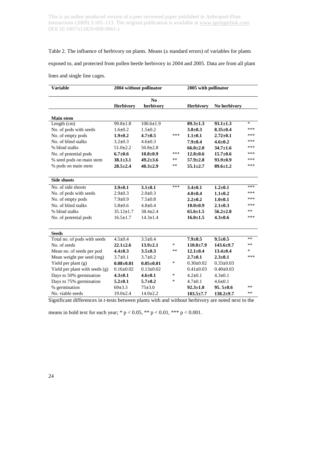#### Table 2. The influence of herbivory on plants. Means (**±** standard errors) of variables for plants

exposed to, and protected from pollen beetle herbivory in 2004 and 2005. Data are from all plant

lines and single line cages.

| <b>Variable</b>                | 2004 without pollinator |                                     |        | 2005 with pollinator |                 |        |
|--------------------------------|-------------------------|-------------------------------------|--------|----------------------|-----------------|--------|
|                                | <b>Herbivory</b>        | $\mathbf{N}\mathbf{0}$<br>herbivory |        | <b>Herbivory</b>     | No herbivory    |        |
| <b>Main stem</b>               |                         |                                     |        |                      |                 |        |
| Length (cm)                    | $99.8 \pm 1.8$          | $100.6 \pm 1.9$                     |        | $89.3 \pm 1.3$       | $93.1 \pm 1.3$  | $\ast$ |
| No. of pods with seeds         | $1.6 \pm 0.2$           | $1.5 \pm 0.2$                       |        | $3.8 + 0.3$          | $8.35 \pm 0.4$  | ***    |
| No. of empty pods              | $1.9 + 0.2$             | $4.7 \pm 0.5$                       | ***    | $1.1 \pm 0.1$        | $2.72 \pm 0.1$  | ***    |
| No. of blind stalks            | $3.2 \pm 0.3$           | $4.6 \pm 0.3$                       |        | $7.9 \pm 0.4$        | $4.6 \pm 0.2$   | ***    |
| % blind stalks                 | $51.0 \pm 2.2$          | $50.8 \pm 2.8$                      |        | $66.0 \pm 2.0$       | $34.7 \pm 1.6$  | ***    |
| No. of potential pods          | $6.7 \pm 0.6$           | $10.8 \pm 0.9$                      | ***    | $12.8 \pm 0.6$       | $15.7 + 0.6$    | ***    |
| % seed pods on main stem       | $38.1 \pm 3.1$          | $49.2 \pm 3.6$                      | **     | $57.9 \pm 2.8$       | $93.9 \pm 0.9$  | ***    |
| % pods on main stem            | $28.5 \pm 2.4$          | $40.3 \pm 2.9$                      | **     | $55.1 \pm 2.7$       | $89.6 \pm 1.2$  | ***    |
| <b>Side shoots</b>             |                         |                                     |        |                      |                 |        |
| No. of side shoots             | $3.9 \pm 0.1$           | $3.1 \pm 0.1$                       | ***    | $3.4 \pm 0.1$        | $1.2 + 0.1$     | ***    |
| No. of pods with seeds         | $2.9 \pm 0.3$           | $2.0 \pm 0.3$                       |        | $4.0 \pm 0.4$        | $1.1 \pm 0.2$   | ***    |
| No. of empty pods              | $7.9 \pm 0.9$           | $7.5 \pm 0.8$                       |        | $2.2 \pm 0.2$        | $1.0 + 0.1$     | ***    |
| No. of blind stalks            | $5.8 \pm 0.6$           | $4.8 \pm 0.4$                       |        | $10.0 + 0.9$         | $2.1 \pm 0.3$   | ***    |
| % blind stalks                 | $35.12 \pm 1.7$         | $38.4 \pm 2.4$                      |        | $65.6 \pm 1.5$       | $56.2 \pm 2.8$  | **     |
| No. of potential pods          | $16.5 \pm 1.7$          | $14.3 \pm 1.4$                      |        | $16.0 \pm 1.5$       | $4.3 \pm 0.6$   | ***    |
|                                |                         |                                     |        |                      |                 |        |
| <b>Seeds</b>                   |                         |                                     |        |                      |                 |        |
| Total no. of pods with seeds   | $4.5 \pm 0.4$           | $3.5 \pm 0.4$                       |        | $7.9 \pm 0.5$        | $9.5 \pm 0.5$   | $***$  |
| No. of seeds                   | $22.1 \pm 2.6$          | $13.9 \pm 2.1$                      | *      | $110.0 \pm 7.9$      | $143.6 \pm 9.7$ | **     |
| Mean no. of seeds per pod      | $4.4 \pm 0.3$           | $3.5 \pm 0.3$                       | **     | $12.1 \pm 0.4$       | $13.4 \pm 0.4$  | $\ast$ |
| Mean weight per seed (mg)      | $3.7 \pm 0.1$           | $3.7 \pm 0.2$                       |        | $2.7 \pm 0.1$        | $2.3 \pm 0.1$   | ***    |
| Yield per plant (g)            | $0.08 \pm 0.01$         | $0.05 \pm 0.01$                     | $\ast$ | $0.30 \pm 0.02$      | $0.33 \pm 0.03$ |        |
| Yield per plant with seeds (g) | $0.16 \pm 0.02$         | $0.13 \pm 0.02$                     |        | $0.41 \pm 0.03$      | $0.40 \pm 0.03$ |        |
| Days to 50% germination        | $4.3 \pm 0.1$           | $4.6 \pm 0.1$                       | *      | $4.2 \pm 0.1$        | $4.3 \pm 0.1$   |        |
| Days to 75% germination        | $5.2 \pm 0.1$           | $5.7 \pm 0.2$                       | *      | $4.7 \pm 0.1$        | $4.6 \pm 0.1$   |        |
| % germination                  | 69±3.3                  | 75±3.0                              |        | $92.3 \pm 1.0$       | $95.5 \pm 0.6$  | $***$  |
| No. viable seeds               | $19.0 \pm 2.4$          | $14.0 \pm 2.2$                      |        | $103.5 \pm 7.7$      | $138.2{\pm}9.7$ | $**$   |

Significant differences in *t*-tests between plants with and without herbivory are noted next to the

means in bold text for each year; \*  $p < 0.05$ , \*\*  $p < 0.01$ , \*\*\*  $p < 0.001$ .